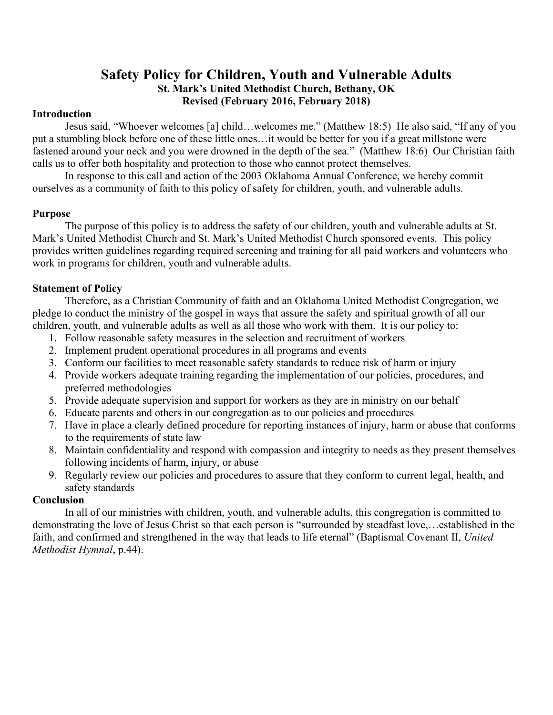# **Safety Policy for Children, Youth and Vulnerable Adults St. Mark's United Methodist Church, Bethany, OK Revised (February 2016, February 2018)**

#### **Introduction**

Jesus said, "Whoever welcomes [a] child…welcomes me." (Matthew 18:5) He also said, "If any of you put a stumbling block before one of these little ones…it would be better for you if a great millstone were fastened around your neck and you were drowned in the depth of the sea." (Matthew 18:6) Our Christian faith calls us to offer both hospitality and protection to those who cannot protect themselves.

In response to this call and action of the 2003 Oklahoma Annual Conference, we hereby commit ourselves as a community of faith to this policy of safety for children, youth, and vulnerable adults.

#### **Purpose**

The purpose of this policy is to address the safety of our children, youth and vulnerable adults at St. Mark's United Methodist Church and St. Mark's United Methodist Church sponsored events. This policy provides written guidelines regarding required screening and training for all paid workers and volunteers who work in programs for children, youth and vulnerable adults.

### **Statement of Policy**

Therefore, as a Christian Community of faith and an Oklahoma United Methodist Congregation, we pledge to conduct the ministry of the gospel in ways that assure the safety and spiritual growth of all our children, youth, and vulnerable adults as well as all those who work with them. It is our policy to:

- 1. Follow reasonable safety measures in the selection and recruitment of workers
- 2. Implement prudent operational procedures in all programs and events
- 3. Conform our facilities to meet reasonable safety standards to reduce risk of harm or injury
- 4. Provide workers adequate training regarding the implementation of our policies, procedures, and preferred methodologies
- 5. Provide adequate supervision and support for workers as they are in ministry on our behalf
- 6. Educate parents and others in our congregation as to our policies and procedures
- 7. Have in place a clearly defined procedure for reporting instances of injury, harm or abuse that conforms to the requirements of state law
- 8. Maintain confidentiality and respond with compassion and integrity to needs as they present themselves following incidents of harm, injury, or abuse
- 9. Regularly review our policies and procedures to assure that they conform to current legal, health, and safety standards

#### **Conclusion**

In all of our ministries with children, youth, and vulnerable adults, this congregation is committed to demonstrating the love of Jesus Christ so that each person is "surrounded by steadfast love,…established in the faith, and confirmed and strengthened in the way that leads to life eternal" (Baptismal Covenant II, *United Methodist Hymnal*, p.44).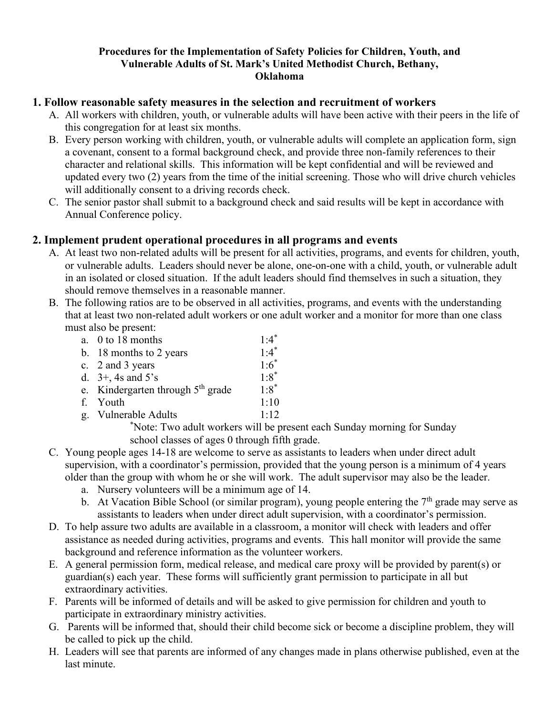### **Procedures for the Implementation of Safety Policies for Children, Youth, and Vulnerable Adults of St. Mark's United Methodist Church, Bethany, Oklahoma**

## **1. Follow reasonable safety measures in the selection and recruitment of workers**

- A. All workers with children, youth, or vulnerable adults will have been active with their peers in the life of this congregation for at least six months.
- B. Every person working with children, youth, or vulnerable adults will complete an application form, sign a covenant, consent to a formal background check, and provide three non-family references to their character and relational skills. This information will be kept confidential and will be reviewed and updated every two (2) years from the time of the initial screening. Those who will drive church vehicles will additionally consent to a driving records check.
- C. The senior pastor shall submit to a background check and said results will be kept in accordance with Annual Conference policy.

## **2. Implement prudent operational procedures in all programs and events**

- A. At least two non-related adults will be present for all activities, programs, and events for children, youth, or vulnerable adults. Leaders should never be alone, one-on-one with a child, youth, or vulnerable adult in an isolated or closed situation. If the adult leaders should find themselves in such a situation, they should remove themselves in a reasonable manner.
- B. The following ratios are to be observed in all activities, programs, and events with the understanding that at least two non-related adult workers or one adult worker and a monitor for more than one class must also be present:
	- a. 0 to 18 months  $1:4^*$ b. 18 months to 2 years  $1:4^*$ c. 2 and 3 years  $1:6^*$ d.  $3+$ , 4s and  $5's$  1:8<sup>\*</sup> e. Kindergarten through  $5<sup>th</sup>$  grade 1:8<sup>\*</sup> f. Youth 1:10 g. Vulnerable Adults 1:12

\* Note: Two adult workers will be present each Sunday morning for Sunday school classes of ages 0 through fifth grade.

- C. Young people ages 14-18 are welcome to serve as assistants to leaders when under direct adult supervision, with a coordinator's permission, provided that the young person is a minimum of 4 years older than the group with whom he or she will work. The adult supervisor may also be the leader.
	- a. Nursery volunteers will be a minimum age of 14.
	- b. At Vacation Bible School (or similar program), young people entering the 7<sup>th</sup> grade may serve as assistants to leaders when under direct adult supervision, with a coordinator's permission.
- D. To help assure two adults are available in a classroom, a monitor will check with leaders and offer assistance as needed during activities, programs and events. This hall monitor will provide the same background and reference information as the volunteer workers.
- E. A general permission form, medical release, and medical care proxy will be provided by parent(s) or guardian(s) each year. These forms will sufficiently grant permission to participate in all but extraordinary activities.
- F. Parents will be informed of details and will be asked to give permission for children and youth to participate in extraordinary ministry activities.
- G. Parents will be informed that, should their child become sick or become a discipline problem, they will be called to pick up the child.
- H. Leaders will see that parents are informed of any changes made in plans otherwise published, even at the last minute.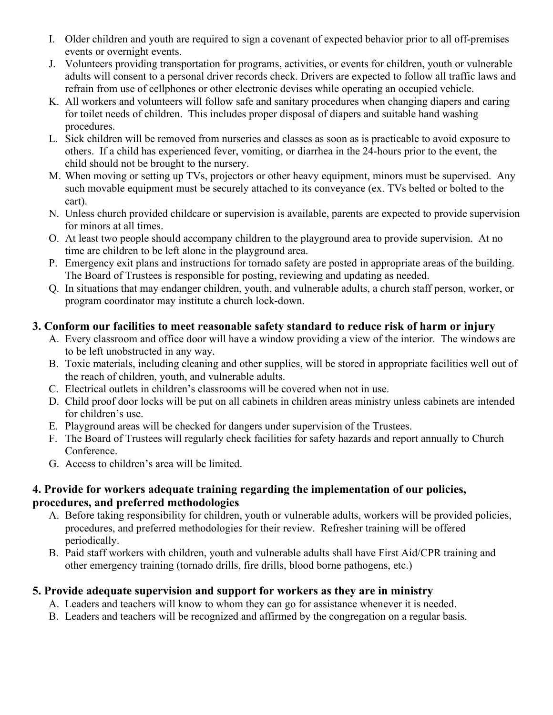- I. Older children and youth are required to sign a covenant of expected behavior prior to all off-premises events or overnight events.
- J. Volunteers providing transportation for programs, activities, or events for children, youth or vulnerable adults will consent to a personal driver records check. Drivers are expected to follow all traffic laws and refrain from use of cellphones or other electronic devises while operating an occupied vehicle.
- K. All workers and volunteers will follow safe and sanitary procedures when changing diapers and caring for toilet needs of children. This includes proper disposal of diapers and suitable hand washing procedures.
- L. Sick children will be removed from nurseries and classes as soon as is practicable to avoid exposure to others. If a child has experienced fever, vomiting, or diarrhea in the 24-hours prior to the event, the child should not be brought to the nursery.
- M. When moving or setting up TVs, projectors or other heavy equipment, minors must be supervised. Any such movable equipment must be securely attached to its conveyance (ex. TVs belted or bolted to the cart).
- N. Unless church provided childcare or supervision is available, parents are expected to provide supervision for minors at all times.
- O. At least two people should accompany children to the playground area to provide supervision. At no time are children to be left alone in the playground area.
- P. Emergency exit plans and instructions for tornado safety are posted in appropriate areas of the building. The Board of Trustees is responsible for posting, reviewing and updating as needed.
- Q. In situations that may endanger children, youth, and vulnerable adults, a church staff person, worker, or program coordinator may institute a church lock-down.

# **3. Conform our facilities to meet reasonable safety standard to reduce risk of harm or injury**

- A. Every classroom and office door will have a window providing a view of the interior. The windows are to be left unobstructed in any way.
- B. Toxic materials, including cleaning and other supplies, will be stored in appropriate facilities well out of the reach of children, youth, and vulnerable adults.
- C. Electrical outlets in children's classrooms will be covered when not in use.
- D. Child proof door locks will be put on all cabinets in children areas ministry unless cabinets are intended for children's use.
- E. Playground areas will be checked for dangers under supervision of the Trustees.
- F. The Board of Trustees will regularly check facilities for safety hazards and report annually to Church Conference.
- G. Access to children's area will be limited.

## **4. Provide for workers adequate training regarding the implementation of our policies, procedures, and preferred methodologies**

- A. Before taking responsibility for children, youth or vulnerable adults, workers will be provided policies, procedures, and preferred methodologies for their review. Refresher training will be offered periodically.
- B. Paid staff workers with children, youth and vulnerable adults shall have First Aid/CPR training and other emergency training (tornado drills, fire drills, blood borne pathogens, etc.)

# **5. Provide adequate supervision and support for workers as they are in ministry**

- A. Leaders and teachers will know to whom they can go for assistance whenever it is needed.
- B. Leaders and teachers will be recognized and affirmed by the congregation on a regular basis.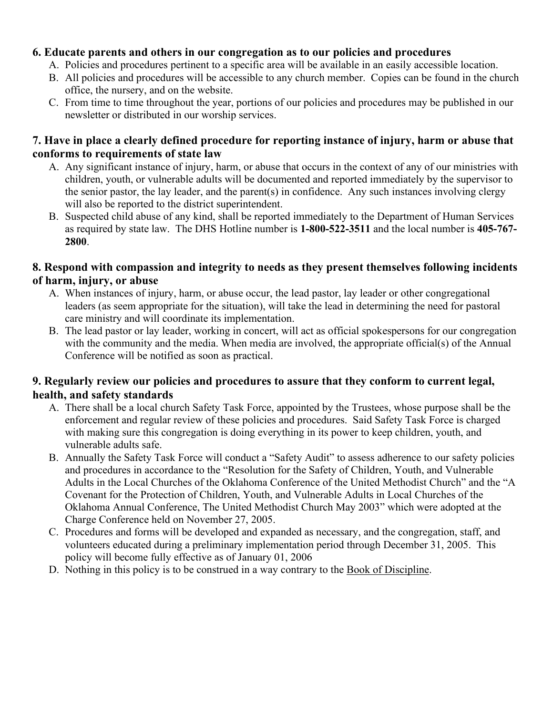## **6. Educate parents and others in our congregation as to our policies and procedures**

- A. Policies and procedures pertinent to a specific area will be available in an easily accessible location.
- B. All policies and procedures will be accessible to any church member. Copies can be found in the church office, the nursery, and on the website.
- C. From time to time throughout the year, portions of our policies and procedures may be published in our newsletter or distributed in our worship services.

## **7. Have in place a clearly defined procedure for reporting instance of injury, harm or abuse that conforms to requirements of state law**

- A. Any significant instance of injury, harm, or abuse that occurs in the context of any of our ministries with children, youth, or vulnerable adults will be documented and reported immediately by the supervisor to the senior pastor, the lay leader, and the parent(s) in confidence. Any such instances involving clergy will also be reported to the district superintendent.
- B. Suspected child abuse of any kind, shall be reported immediately to the Department of Human Services as required by state law. The DHS Hotline number is **1-800-522-3511** and the local number is **405-767- 2800**.

# **8. Respond with compassion and integrity to needs as they present themselves following incidents of harm, injury, or abuse**

- A. When instances of injury, harm, or abuse occur, the lead pastor, lay leader or other congregational leaders (as seem appropriate for the situation), will take the lead in determining the need for pastoral care ministry and will coordinate its implementation.
- B. The lead pastor or lay leader, working in concert, will act as official spokespersons for our congregation with the community and the media. When media are involved, the appropriate official(s) of the Annual Conference will be notified as soon as practical.

# **9. Regularly review our policies and procedures to assure that they conform to current legal, health, and safety standards**

- A. There shall be a local church Safety Task Force, appointed by the Trustees, whose purpose shall be the enforcement and regular review of these policies and procedures. Said Safety Task Force is charged with making sure this congregation is doing everything in its power to keep children, youth, and vulnerable adults safe.
- B. Annually the Safety Task Force will conduct a "Safety Audit" to assess adherence to our safety policies and procedures in accordance to the "Resolution for the Safety of Children, Youth, and Vulnerable Adults in the Local Churches of the Oklahoma Conference of the United Methodist Church" and the "A Covenant for the Protection of Children, Youth, and Vulnerable Adults in Local Churches of the Oklahoma Annual Conference, The United Methodist Church May 2003" which were adopted at the Charge Conference held on November 27, 2005.
- C. Procedures and forms will be developed and expanded as necessary, and the congregation, staff, and volunteers educated during a preliminary implementation period through December 31, 2005. This policy will become fully effective as of January 01, 2006
- D. Nothing in this policy is to be construed in a way contrary to the Book of Discipline.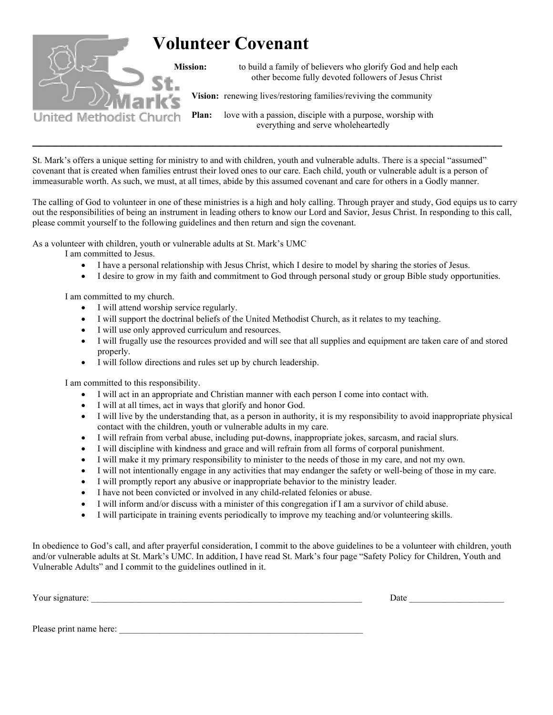# **Volunteer Covenant**

**Mission:** to build a family of believers who glorify God and help each

other become fully devoted followers of Jesus Christ

**Vision:** renewing lives/restoring families/reviving the community

**Plan:** love with a passion, disciple with a purpose, worship with everything and serve wholeheartedly

St. Mark's offers a unique setting for ministry to and with children, youth and vulnerable adults. There is a special "assumed" covenant that is created when families entrust their loved ones to our care. Each child, youth or vulnerable adult is a person of immeasurable worth. As such, we must, at all times, abide by this assumed covenant and care for others in a Godly manner.

**\_\_\_\_\_\_\_\_\_\_\_\_\_\_\_\_\_\_\_\_\_\_\_\_\_\_\_\_\_\_\_\_\_\_\_\_\_\_\_\_\_\_\_\_\_\_\_\_\_\_\_\_\_\_\_\_\_\_\_\_\_\_\_\_\_**

The calling of God to volunteer in one of these ministries is a high and holy calling. Through prayer and study, God equips us to carry out the responsibilities of being an instrument in leading others to know our Lord and Savior, Jesus Christ. In responding to this call, please commit yourself to the following guidelines and then return and sign the covenant.

As a volunteer with children, youth or vulnerable adults at St. Mark's UMC

I am committed to Jesus.

**United Methodist** 

- I have a personal relationship with Jesus Christ, which I desire to model by sharing the stories of Jesus.
- I desire to grow in my faith and commitment to God through personal study or group Bible study opportunities.

I am committed to my church.

- I will attend worship service regularly.
- I will support the doctrinal beliefs of the United Methodist Church, as it relates to my teaching.
- I will use only approved curriculum and resources.
- I will frugally use the resources provided and will see that all supplies and equipment are taken care of and stored properly.
- I will follow directions and rules set up by church leadership.

I am committed to this responsibility.

- I will act in an appropriate and Christian manner with each person I come into contact with.
- I will at all times, act in ways that glorify and honor God.
- I will live by the understanding that, as a person in authority, it is my responsibility to avoid inappropriate physical contact with the children, youth or vulnerable adults in my care.
- I will refrain from verbal abuse, including put-downs, inappropriate jokes, sarcasm, and racial slurs.
- I will discipline with kindness and grace and will refrain from all forms of corporal punishment.
- I will make it my primary responsibility to minister to the needs of those in my care, and not my own.
- I will not intentionally engage in any activities that may endanger the safety or well-being of those in my care.
- I will promptly report any abusive or inappropriate behavior to the ministry leader.
- I have not been convicted or involved in any child-related felonies or abuse.
- I will inform and/or discuss with a minister of this congregation if I am a survivor of child abuse.
- I will participate in training events periodically to improve my teaching and/or volunteering skills.

In obedience to God's call, and after prayerful consideration, I commit to the above guidelines to be a volunteer with children, youth and/or vulnerable adults at St. Mark's UMC. In addition, I have read St. Mark's four page "Safety Policy for Children, Youth and Vulnerable Adults" and I commit to the guidelines outlined in it.

Your signature: <br>  $\Box$ 

Please print name here: